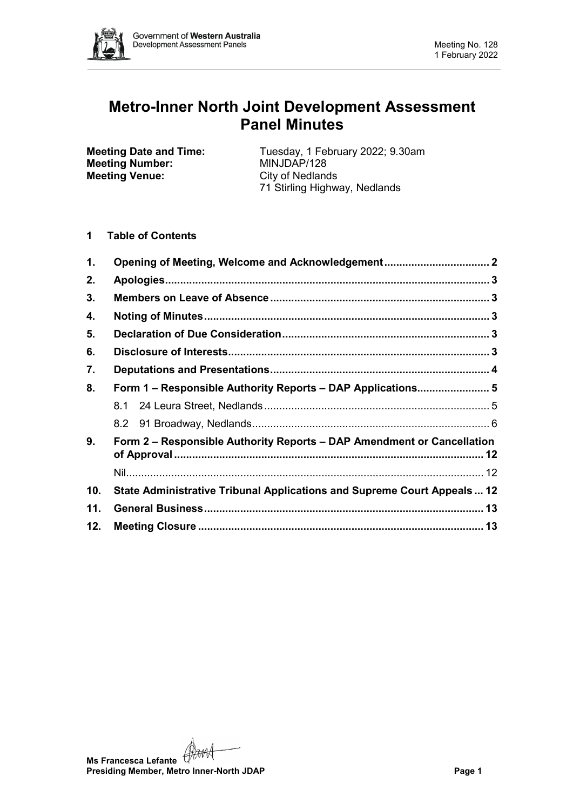

# **Metro-Inner North Joint Development Assessment Panel Minutes**

**Meeting Number: Meeting Venue:** City of Nedlands

**Meeting Date and Time:** Tuesday, 1 February 2022; 9.30am<br> **Meeting Number:** MINJDAP/128 71 Stirling Highway, Nedlands

# **1 Table of Contents**

| 1.  | Opening of Meeting, Welcome and Acknowledgement 2                       |  |  |  |  |
|-----|-------------------------------------------------------------------------|--|--|--|--|
| 2.  |                                                                         |  |  |  |  |
| 3.  |                                                                         |  |  |  |  |
| 4.  |                                                                         |  |  |  |  |
| 5.  |                                                                         |  |  |  |  |
| 6.  |                                                                         |  |  |  |  |
| 7.  |                                                                         |  |  |  |  |
| 8.  | Form 1 - Responsible Authority Reports - DAP Applications 5             |  |  |  |  |
|     |                                                                         |  |  |  |  |
|     |                                                                         |  |  |  |  |
| 9.  | Form 2 – Responsible Authority Reports – DAP Amendment or Cancellation  |  |  |  |  |
|     |                                                                         |  |  |  |  |
| 10. | State Administrative Tribunal Applications and Supreme Court Appeals 12 |  |  |  |  |
| 11. |                                                                         |  |  |  |  |
| 12. |                                                                         |  |  |  |  |

**Ms Francesca Lefante** (Hamed<br>Presiding Ms **Presiding Member, Metro Inner-North JDAP Page 1**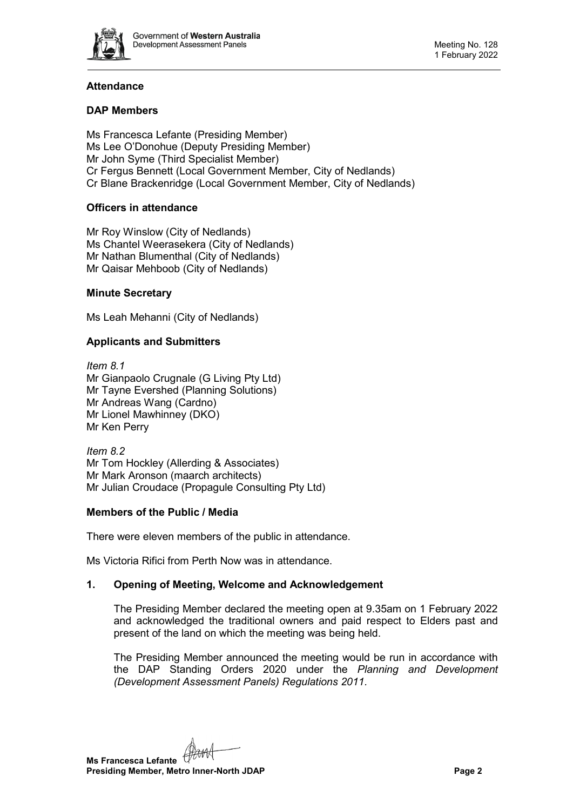

# **Attendance**

# **DAP Members**

Ms Francesca Lefante (Presiding Member) Ms Lee O'Donohue (Deputy Presiding Member) Mr John Syme (Third Specialist Member) Cr Fergus Bennett (Local Government Member, City of Nedlands) Cr Blane Brackenridge (Local Government Member, City of Nedlands)

# **Officers in attendance**

Mr Roy Winslow (City of Nedlands) Ms Chantel Weerasekera (City of Nedlands) Mr Nathan Blumenthal (City of Nedlands) Mr Qaisar Mehboob (City of Nedlands)

# **Minute Secretary**

Ms Leah Mehanni (City of Nedlands)

# **Applicants and Submitters**

*Item 8.1* Mr Gianpaolo Crugnale (G Living Pty Ltd) Mr Tayne Evershed (Planning Solutions) Mr Andreas Wang (Cardno) Mr Lionel Mawhinney (DKO) Mr Ken Perry

*Item 8.2* Mr Tom Hockley (Allerding & Associates) Mr Mark Aronson (maarch architects) Mr Julian Croudace (Propagule Consulting Pty Ltd)

### **Members of the Public / Media**

There were eleven members of the public in attendance.

<span id="page-1-0"></span>Ms Victoria Rifici from Perth Now was in attendance.

# **1. Opening of Meeting, Welcome and Acknowledgement**

The Presiding Member declared the meeting open at 9.35am on 1 February 2022 and acknowledged the traditional owners and paid respect to Elders past and present of the land on which the meeting was being held.

The Presiding Member announced the meeting would be run in accordance with the DAP Standing Orders 2020 under the *Planning and Development (Development Assessment Panels) Regulations 2011.*

**Ms Francesca Lefante Presiding Member, Metro Inner-North JDAP Page 2**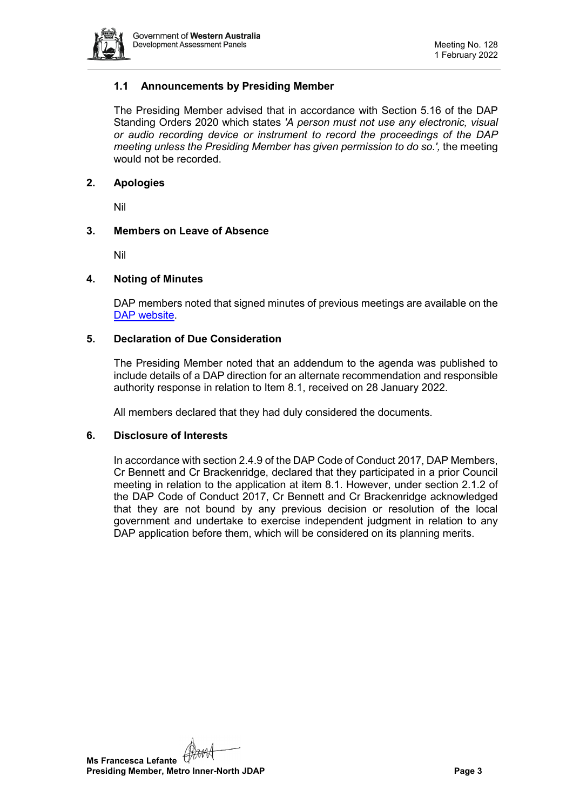

# **1.1 Announcements by Presiding Member**

The Presiding Member advised that in accordance with Section 5.16 of the DAP Standing Orders 2020 which states *'A person must not use any electronic, visual or audio recording device or instrument to record the proceedings of the DAP meeting unless the Presiding Member has given permission to do so.',* the meeting would not be recorded.

# <span id="page-2-0"></span>**2. Apologies**

Nil

# <span id="page-2-1"></span>**3. Members on Leave of Absence**

Nil

### <span id="page-2-2"></span>**4. Noting of Minutes**

DAP members noted that signed minutes of previous meetings are available on the [DAP website.](https://www.dplh.wa.gov.au/about/development-assessment-panels/daps-agendas-and-minutes)

### <span id="page-2-3"></span>**5. Declaration of Due Consideration**

The Presiding Member noted that an addendum to the agenda was published to include details of a DAP direction for an alternate recommendation and responsible authority response in relation to Item 8.1, received on 28 January 2022.

All members declared that they had duly considered the documents.

### <span id="page-2-4"></span>**6. Disclosure of Interests**

In accordance with section 2.4.9 of the DAP Code of Conduct 2017, DAP Members, Cr Bennett and Cr Brackenridge, declared that they participated in a prior Council meeting in relation to the application at item 8.1. However, under section 2.1.2 of the DAP Code of Conduct 2017, Cr Bennett and Cr Brackenridge acknowledged that they are not bound by any previous decision or resolution of the local government and undertake to exercise independent judgment in relation to any DAP application before them, which will be considered on its planning merits.

**Ms Francesca Lefante Presiding Member, Metro Inner-North JDAP Page 3**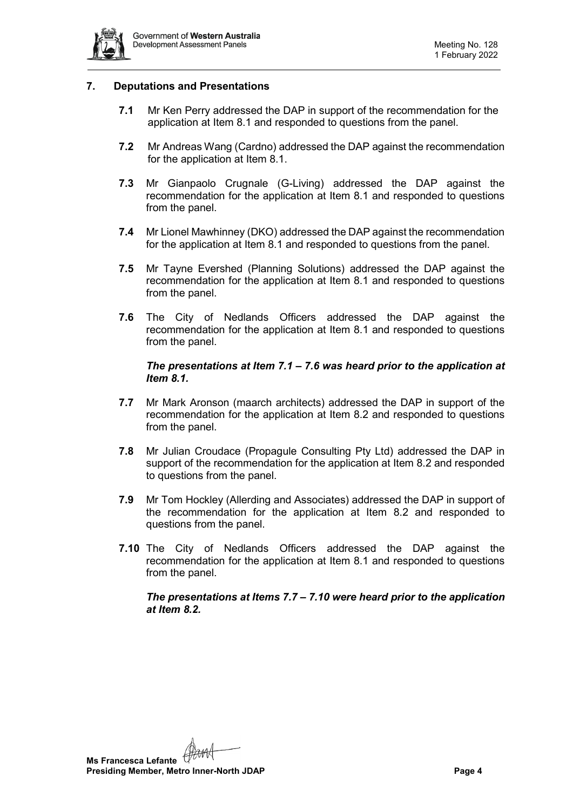

# <span id="page-3-0"></span>**7. Deputations and Presentations**

- **7.1** Mr Ken Perry addressed the DAP in support of the recommendation for the application at Item 8.1 and responded to questions from the panel.
- **7.2** Mr Andreas Wang (Cardno) addressed the DAP against the recommendation for the application at Item 8.1.
- **7.3** Mr Gianpaolo Crugnale (G-Living) addressed the DAP against the recommendation for the application at Item 8.1 and responded to questions from the panel.
- **7.4** Mr Lionel Mawhinney (DKO) addressed the DAP against the recommendation for the application at Item 8.1 and responded to questions from the panel.
- **7.5** Mr Tayne Evershed (Planning Solutions) addressed the DAP against the recommendation for the application at Item 8.1 and responded to questions from the panel.
- **7.6** The City of Nedlands Officers addressed the DAP against the recommendation for the application at Item 8.1 and responded to questions from the panel.

# *The presentations at Item 7.1 – 7.6 was heard prior to the application at Item 8.1.*

- **7.7** Mr Mark Aronson (maarch architects) addressed the DAP in support of the recommendation for the application at Item 8.2 and responded to questions from the panel.
- **7.8** Mr Julian Croudace (Propagule Consulting Pty Ltd) addressed the DAP in support of the recommendation for the application at Item 8.2 and responded to questions from the panel.
- **7.9** Mr Tom Hockley (Allerding and Associates) addressed the DAP in support of the recommendation for the application at Item 8.2 and responded to questions from the panel.
- **7.10** The City of Nedlands Officers addressed the DAP against the recommendation for the application at Item 8.1 and responded to questions from the panel.

*The presentations at Items 7.7 – 7.10 were heard prior to the application at Item 8.2.* 

**Ms Francesca Lefante Presiding Member, Metro Inner-North JDAP Page 4**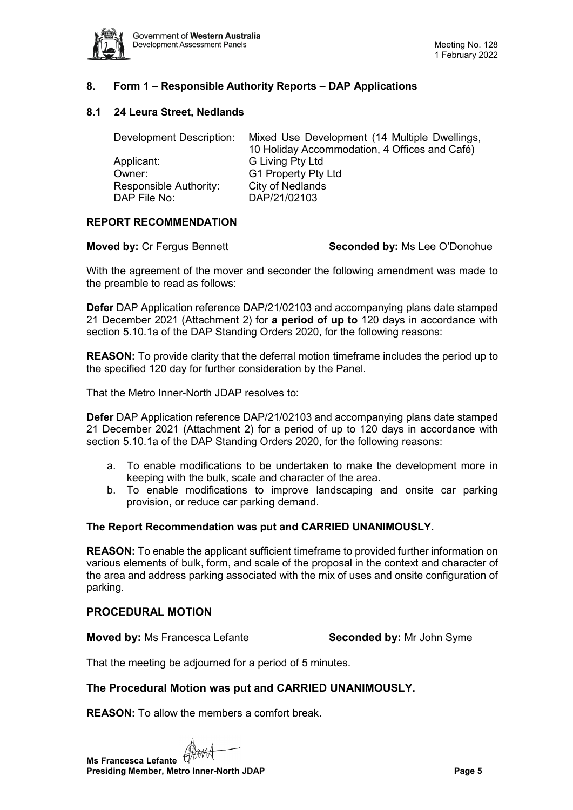

# <span id="page-4-0"></span>**8. Form 1 – Responsible Authority Reports – DAP Applications**

# <span id="page-4-1"></span>**8.1 24 Leura Street, Nedlands**

| Development Description: | Mixed Use Development (14 Multiple Dwellings, |
|--------------------------|-----------------------------------------------|
|                          | 10 Holiday Accommodation, 4 Offices and Café) |
| Applicant:               | G Living Pty Ltd                              |
| Owner:                   | G1 Property Pty Ltd                           |
| Responsible Authority:   | <b>City of Nedlands</b>                       |
| DAP File No:             | DAP/21/02103                                  |

# **REPORT RECOMMENDATION**

### **Moved by:** Cr Fergus Bennett **Seconded by:** Ms Lee O'Donohue

With the agreement of the mover and seconder the following amendment was made to the preamble to read as follows:

**Defer** DAP Application reference DAP/21/02103 and accompanying plans date stamped 21 December 2021 (Attachment 2) for **a period of up to** 120 days in accordance with section 5.10.1a of the DAP Standing Orders 2020, for the following reasons:

**REASON:** To provide clarity that the deferral motion timeframe includes the period up to the specified 120 day for further consideration by the Panel.

That the Metro Inner-North JDAP resolves to:

**Defer** DAP Application reference DAP/21/02103 and accompanying plans date stamped 21 December 2021 (Attachment 2) for a period of up to 120 days in accordance with section 5.10.1a of the DAP Standing Orders 2020, for the following reasons:

- a. To enable modifications to be undertaken to make the development more in keeping with the bulk, scale and character of the area.
- b. To enable modifications to improve landscaping and onsite car parking provision, or reduce car parking demand.

### **The Report Recommendation was put and CARRIED UNANIMOUSLY.**

**REASON:** To enable the applicant sufficient timeframe to provided further information on various elements of bulk, form, and scale of the proposal in the context and character of the area and address parking associated with the mix of uses and onsite configuration of parking.

### **PROCEDURAL MOTION**

**Moved by:** Ms Francesca Lefante **Seconded by:** Mr John Syme

That the meeting be adjourned for a period of 5 minutes.

### **The Procedural Motion was put and CARRIED UNANIMOUSLY.**

**REASON:** To allow the members a comfort break.

**Ms Francesca Lefante Presiding Member, Metro Inner-North JDAP Page 5**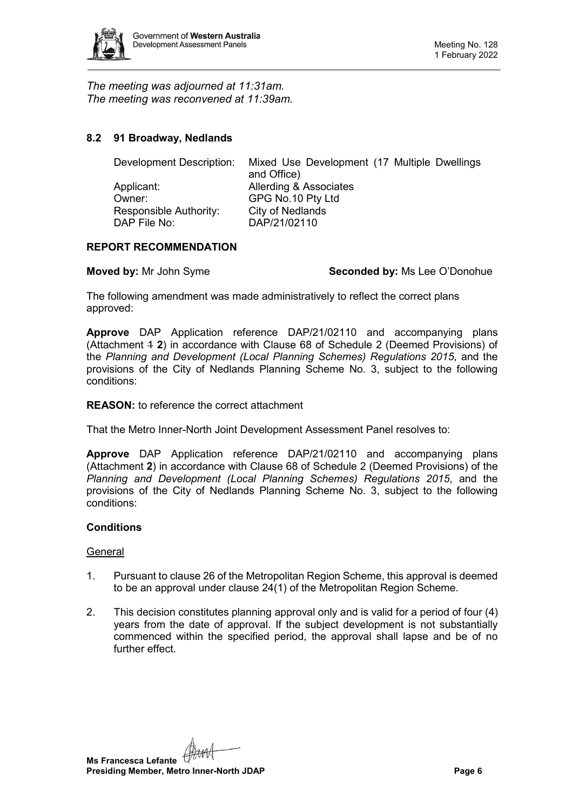

*The meeting was adjourned at 11:31am. The meeting was reconvened at 11:39am.*

# <span id="page-5-0"></span>**8.2 91 Broadway, Nedlands**

| Mixed Use Development (17 Multiple Dwellings<br>and Office) |
|-------------------------------------------------------------|
| Allerding & Associates                                      |
| GPG No.10 Pty Ltd                                           |
| City of Nedlands                                            |
| DAP/21/02110                                                |
|                                                             |

# **REPORT RECOMMENDATION**

**Moved by:** Mr John Syme **Seconded by:** Ms Lee O'Donohue

The following amendment was made administratively to reflect the correct plans approved:

**Approve** DAP Application reference DAP/21/02110 and accompanying plans (Attachment 1 **2**) in accordance with Clause 68 of Schedule 2 (Deemed Provisions) of the *Planning and Development (Local Planning Schemes) Regulations 2015*, and the provisions of the City of Nedlands Planning Scheme No. 3, subject to the following conditions:

# **REASON:** to reference the correct attachment

That the Metro Inner-North Joint Development Assessment Panel resolves to:

**Approve** DAP Application reference DAP/21/02110 and accompanying plans (Attachment **2**) in accordance with Clause 68 of Schedule 2 (Deemed Provisions) of the *Planning and Development (Local Planning Schemes) Regulations 2015*, and the provisions of the City of Nedlands Planning Scheme No. 3, subject to the following conditions:

### **Conditions**

### General

- 1. Pursuant to clause 26 of the Metropolitan Region Scheme, this approval is deemed to be an approval under clause 24(1) of the Metropolitan Region Scheme.
- 2. This decision constitutes planning approval only and is valid for a period of four (4) years from the date of approval. If the subject development is not substantially commenced within the specified period, the approval shall lapse and be of no further effect.

**Ms Francesca Lefante Presiding Member, Metro Inner-North JDAP Page 6 Page 6**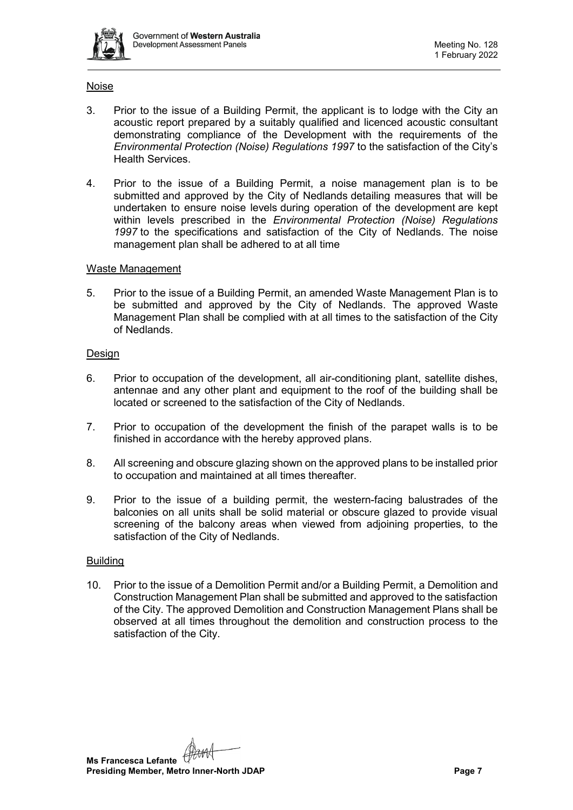

### Noise

- 3. Prior to the issue of a Building Permit, the applicant is to lodge with the City an acoustic report prepared by a suitably qualified and licenced acoustic consultant demonstrating compliance of the Development with the requirements of the *Environmental Protection (Noise) Regulations 1997* to the satisfaction of the City's Health Services.
- 4. Prior to the issue of a Building Permit, a noise management plan is to be submitted and approved by the City of Nedlands detailing measures that will be undertaken to ensure noise levels during operation of the development are kept within levels prescribed in the *Environmental Protection (Noise) Regulations 1997* to the specifications and satisfaction of the City of Nedlands.  The noise management plan shall be adhered to at all time

# Waste Management

5. Prior to the issue of a Building Permit, an amended Waste Management Plan is to be submitted and approved by the City of Nedlands. The approved Waste Management Plan shall be complied with at all times to the satisfaction of the City of Nedlands.

# Design

- 6. Prior to occupation of the development, all air-conditioning plant, satellite dishes, antennae and any other plant and equipment to the roof of the building shall be located or screened to the satisfaction of the City of Nedlands.
- 7. Prior to occupation of the development the finish of the parapet walls is to be finished in accordance with the hereby approved plans.
- 8. All screening and obscure glazing shown on the approved plans to be installed prior to occupation and maintained at all times thereafter.
- 9. Prior to the issue of a building permit, the western-facing balustrades of the balconies on all units shall be solid material or obscure glazed to provide visual screening of the balcony areas when viewed from adjoining properties, to the satisfaction of the City of Nedlands.

# **Building**

10. Prior to the issue of a Demolition Permit and/or a Building Permit, a Demolition and Construction Management Plan shall be submitted and approved to the satisfaction of the City. The approved Demolition and Construction Management Plans shall be observed at all times throughout the demolition and construction process to the satisfaction of the City.

**Ms Francesca Lefante Presiding Member, Metro Inner-North JDAP Page 7 Page 7**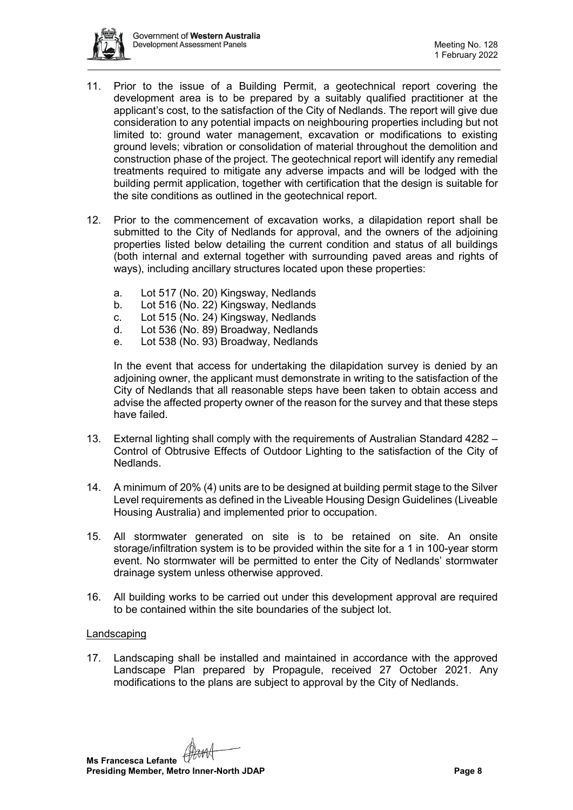

- 11. Prior to the issue of a Building Permit, a geotechnical report covering the development area is to be prepared by a suitably qualified practitioner at the applicant's cost, to the satisfaction of the City of Nedlands. The report will give due consideration to any potential impacts on neighbouring properties including but not limited to: ground water management, excavation or modifications to existing ground levels; vibration or consolidation of material throughout the demolition and construction phase of the project. The geotechnical report will identify any remedial treatments required to mitigate any adverse impacts and will be lodged with the building permit application, together with certification that the design is suitable for the site conditions as outlined in the geotechnical report.
- 12. Prior to the commencement of excavation works, a dilapidation report shall be submitted to the City of Nedlands for approval, and the owners of the adjoining properties listed below detailing the current condition and status of all buildings (both internal and external together with surrounding paved areas and rights of ways), including ancillary structures located upon these properties:
	- a. Lot 517 (No. 20) Kingsway, Nedlands
	- b. Lot 516 (No. 22) Kingsway, Nedlands
	- c. Lot 515 (No. 24) Kingsway, Nedlands
	- d. Lot 536 (No. 89) Broadway, Nedlands
	- e. Lot 538 (No. 93) Broadway, Nedlands

In the event that access for undertaking the dilapidation survey is denied by an adjoining owner, the applicant must demonstrate in writing to the satisfaction of the City of Nedlands that all reasonable steps have been taken to obtain access and advise the affected property owner of the reason for the survey and that these steps have failed.

- 13. External lighting shall comply with the requirements of Australian Standard 4282 Control of Obtrusive Effects of Outdoor Lighting to the satisfaction of the City of Nedlands.
- 14. A minimum of 20% (4) units are to be designed at building permit stage to the Silver Level requirements as defined in the Liveable Housing Design Guidelines (Liveable Housing Australia) and implemented prior to occupation.
- 15. All stormwater generated on site is to be retained on site. An onsite storage/infiltration system is to be provided within the site for a 1 in 100-year storm event. No stormwater will be permitted to enter the City of Nedlands' stormwater drainage system unless otherwise approved.
- 16. All building works to be carried out under this development approval are required to be contained within the site boundaries of the subject lot.

### Landscaping

17. Landscaping shall be installed and maintained in accordance with the approved Landscape Plan prepared by Propagule, received 27 October 2021. Any modifications to the plans are subject to approval by the City of Nedlands.

**Ms Francesca Lefante Presiding Member, Metro Inner-North JDAP Page 8**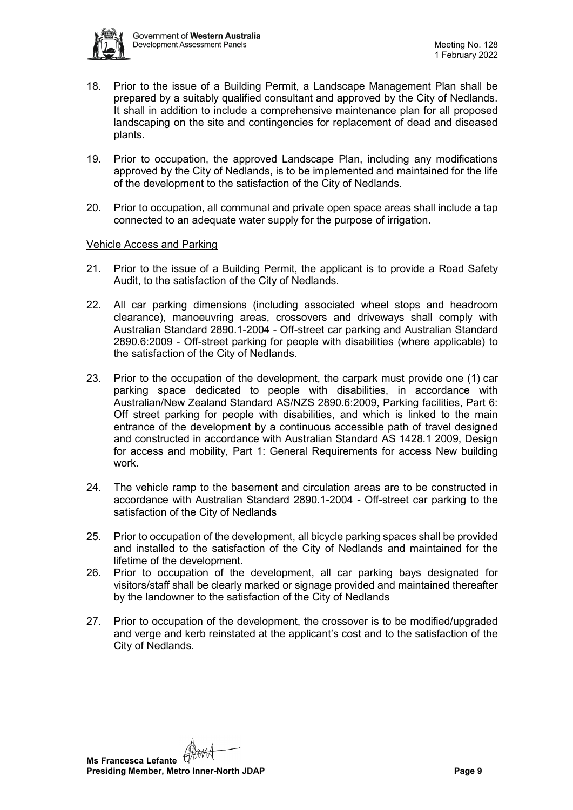

- 18. Prior to the issue of a Building Permit, a Landscape Management Plan shall be prepared by a suitably qualified consultant and approved by the City of Nedlands. It shall in addition to include a comprehensive maintenance plan for all proposed landscaping on the site and contingencies for replacement of dead and diseased plants.
- 19. Prior to occupation, the approved Landscape Plan, including any modifications approved by the City of Nedlands, is to be implemented and maintained for the life of the development to the satisfaction of the City of Nedlands.
- 20. Prior to occupation, all communal and private open space areas shall include a tap connected to an adequate water supply for the purpose of irrigation.

# Vehicle Access and Parking

- 21. Prior to the issue of a Building Permit, the applicant is to provide a Road Safety Audit, to the satisfaction of the City of Nedlands.
- 22. All car parking dimensions (including associated wheel stops and headroom clearance), manoeuvring areas, crossovers and driveways shall comply with Australian Standard 2890.1-2004 - Off-street car parking and Australian Standard 2890.6:2009 - Off-street parking for people with disabilities (where applicable) to the satisfaction of the City of Nedlands.
- 23. Prior to the occupation of the development, the carpark must provide one (1) car parking space dedicated to people with disabilities, in accordance with Australian/New Zealand Standard AS/NZS 2890.6:2009, Parking facilities, Part 6: Off street parking for people with disabilities, and which is linked to the main entrance of the development by a continuous accessible path of travel designed and constructed in accordance with Australian Standard AS 1428.1 2009, Design for access and mobility, Part 1: General Requirements for access New building work.
- 24. The vehicle ramp to the basement and circulation areas are to be constructed in accordance with Australian Standard 2890.1-2004 - Off-street car parking to the satisfaction of the City of Nedlands
- 25. Prior to occupation of the development, all bicycle parking spaces shall be provided and installed to the satisfaction of the City of Nedlands and maintained for the lifetime of the development.
- 26. Prior to occupation of the development, all car parking bays designated for visitors/staff shall be clearly marked or signage provided and maintained thereafter by the landowner to the satisfaction of the City of Nedlands
- 27. Prior to occupation of the development, the crossover is to be modified/upgraded and verge and kerb reinstated at the applicant's cost and to the satisfaction of the City of Nedlands.

**Ms Francesca Lefante Presiding Member, Metro Inner-North JDAP Page 9**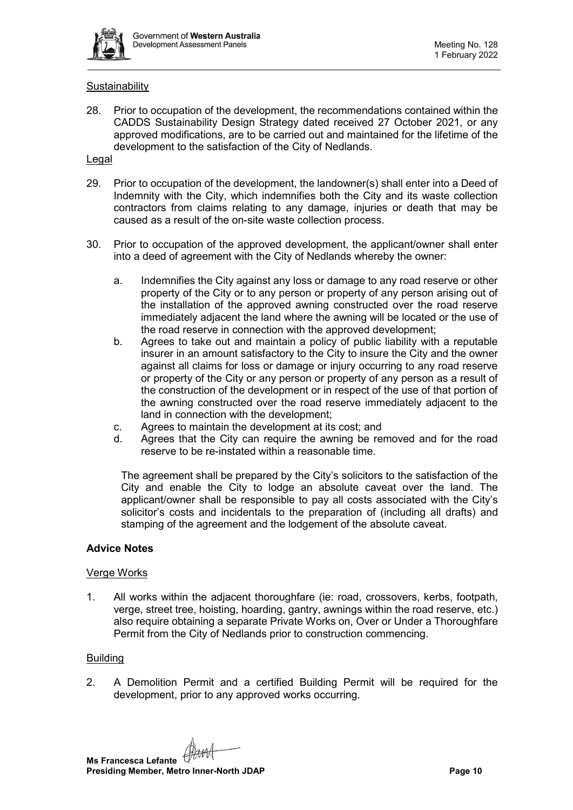

# **Sustainability**

28. Prior to occupation of the development, the recommendations contained within the CADDS Sustainability Design Strategy dated received 27 October 2021, or any approved modifications, are to be carried out and maintained for the lifetime of the development to the satisfaction of the City of Nedlands.

# Legal

- 29. Prior to occupation of the development, the landowner(s) shall enter into a Deed of Indemnity with the City, which indemnifies both the City and its waste collection contractors from claims relating to any damage, injuries or death that may be caused as a result of the on-site waste collection process.
- 30. Prior to occupation of the approved development, the applicant/owner shall enter into a deed of agreement with the City of Nedlands whereby the owner:
	- a. Indemnifies the City against any loss or damage to any road reserve or other property of the City or to any person or property of any person arising out of the installation of the approved awning constructed over the road reserve immediately adjacent the land where the awning will be located or the use of the road reserve in connection with the approved development;
	- b. Agrees to take out and maintain a policy of public liability with a reputable insurer in an amount satisfactory to the City to insure the City and the owner against all claims for loss or damage or injury occurring to any road reserve or property of the City or any person or property of any person as a result of the construction of the development or in respect of the use of that portion of the awning constructed over the road reserve immediately adjacent to the land in connection with the development;
	- c. Agrees to maintain the development at its cost; and
	- d. Agrees that the City can require the awning be removed and for the road reserve to be re-instated within a reasonable time.

The agreement shall be prepared by the City's solicitors to the satisfaction of the City and enable the City to lodge an absolute caveat over the land. The applicant/owner shall be responsible to pay all costs associated with the City's solicitor's costs and incidentals to the preparation of (including all drafts) and stamping of the agreement and the lodgement of the absolute caveat.

### **Advice Notes**

### Verge Works

1. All works within the adjacent thoroughfare (ie: road, crossovers, kerbs, footpath, verge, street tree, hoisting, hoarding, gantry, awnings within the road reserve, etc.) also require obtaining a separate Private Works on, Over or Under a Thoroughfare Permit from the City of Nedlands prior to construction commencing.

### **Building**

2. A Demolition Permit and a certified Building Permit will be required for the development, prior to any approved works occurring.

**Ms Francesca Lefante Presiding Member, Metro Inner-North JDAP Page 10 Page 10**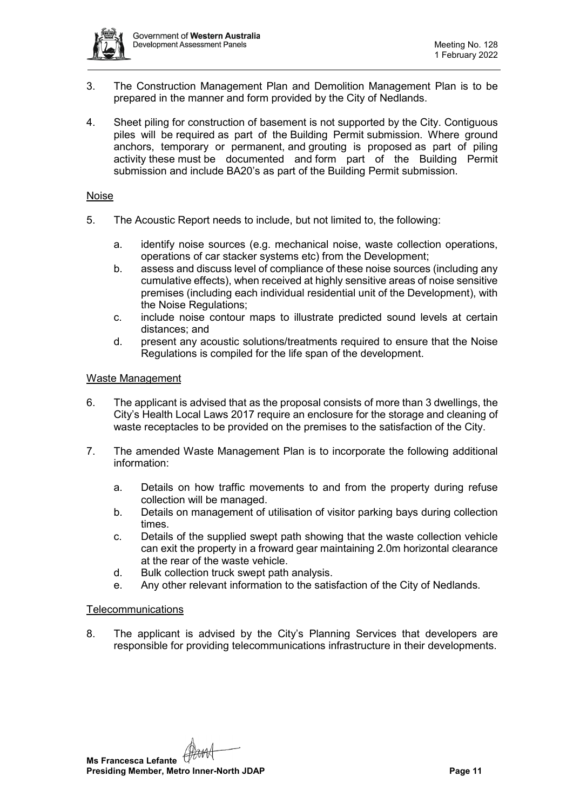

- 3. The Construction Management Plan and Demolition Management Plan is to be prepared in the manner and form provided by the City of Nedlands.
- 4. Sheet piling for construction of basement is not supported by the City. Contiguous piles will be required as part of the Building Permit submission. Where ground anchors, temporary or permanent, and grouting is proposed as part of piling activity these must be documented and form part of the Building Permit submission and include BA20's as part of the Building Permit submission.

### Noise

- 5. The Acoustic Report needs to include, but not limited to, the following:
	- a. identify noise sources (e.g. mechanical noise, waste collection operations, operations of car stacker systems etc) from the Development;
	- b. assess and discuss level of compliance of these noise sources (including any cumulative effects), when received at highly sensitive areas of noise sensitive premises (including each individual residential unit of the Development), with the Noise Regulations;
	- c. include noise contour maps to illustrate predicted sound levels at certain distances; and
	- d. present any acoustic solutions/treatments required to ensure that the Noise Regulations is compiled for the life span of the development.

# Waste Management

- 6. The applicant is advised that as the proposal consists of more than 3 dwellings, the City's Health Local Laws 2017 require an enclosure for the storage and cleaning of waste receptacles to be provided on the premises to the satisfaction of the City.
- 7. The amended Waste Management Plan is to incorporate the following additional information:
	- a. Details on how traffic movements to and from the property during refuse collection will be managed.
	- b. Details on management of utilisation of visitor parking bays during collection times.
	- c. Details of the supplied swept path showing that the waste collection vehicle can exit the property in a froward gear maintaining 2.0m horizontal clearance at the rear of the waste vehicle.
	- d. Bulk collection truck swept path analysis.
	- e. Any other relevant information to the satisfaction of the City of Nedlands.

### Telecommunications

8. The applicant is advised by the City's Planning Services that developers are responsible for providing telecommunications infrastructure in their developments.

**Ms Francesca Lefante Presiding Member, Metro Inner-North JDAP Page 11 Page 11**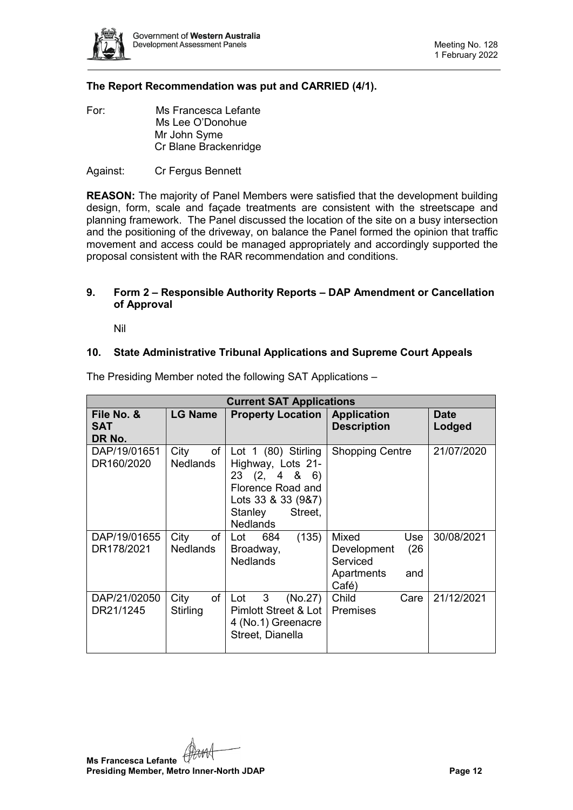

# **The Report Recommendation was put and CARRIED (4/1).**

For: Ms Francesca Lefante Ms Lee O'Donohue Mr John Syme Cr Blane Brackenridge

Against: Cr Fergus Bennett

**REASON:** The majority of Panel Members were satisfied that the development building design, form, scale and façade treatments are consistent with the streetscape and planning framework. The Panel discussed the location of the site on a busy intersection and the positioning of the driveway, on balance the Panel formed the opinion that traffic movement and access could be managed appropriately and accordingly supported the proposal consistent with the RAR recommendation and conditions.

# <span id="page-11-0"></span>**9. Form 2 – Responsible Authority Reports – DAP Amendment or Cancellation of Approval**

Nil

# <span id="page-11-2"></span><span id="page-11-1"></span>**10. State Administrative Tribunal Applications and Supreme Court Appeals**

| <b>Current SAT Applications</b>    |                               |                                                                                                                                              |                                                                               |                       |  |  |  |  |
|------------------------------------|-------------------------------|----------------------------------------------------------------------------------------------------------------------------------------------|-------------------------------------------------------------------------------|-----------------------|--|--|--|--|
| File No. &<br><b>SAT</b><br>DR No. | <b>LG Name</b>                | <b>Property Location</b>                                                                                                                     | <b>Application</b><br><b>Description</b>                                      | <b>Date</b><br>Lodged |  |  |  |  |
| DAP/19/01651<br>DR160/2020         | City<br>of<br>Nedlands        | Lot $1$ (80) Stirling<br>Highway, Lots 21-<br>23(2, 486)<br>Florence Road and<br>Lots 33 & 33 (9&7)<br>Street,<br>Stanley<br><b>Nedlands</b> | <b>Shopping Centre</b>                                                        | 21/07/2020            |  |  |  |  |
| DAP/19/01655<br>DR178/2021         | City<br>of<br><b>Nedlands</b> | (135)<br>Lot<br>684<br>Broadway,<br><b>Nedlands</b>                                                                                          | Mixed<br>Use<br>(26)<br>Development<br>Serviced<br>Apartments<br>and<br>Café) | 30/08/2021            |  |  |  |  |
| DAP/21/02050<br>DR21/1245          | of<br>City<br>Stirling        | 3<br>(No.27)<br>Lot<br>Pimlott Street & Lot  <br>4 (No.1) Greenacre<br>Street, Dianella                                                      | Child<br>Care<br>Premises                                                     | 21/12/2021            |  |  |  |  |

The Presiding Member noted the following SAT Applications –

**Ms Francesca Lefante Presiding Member, Metro Inner-North JDAP Page 12**